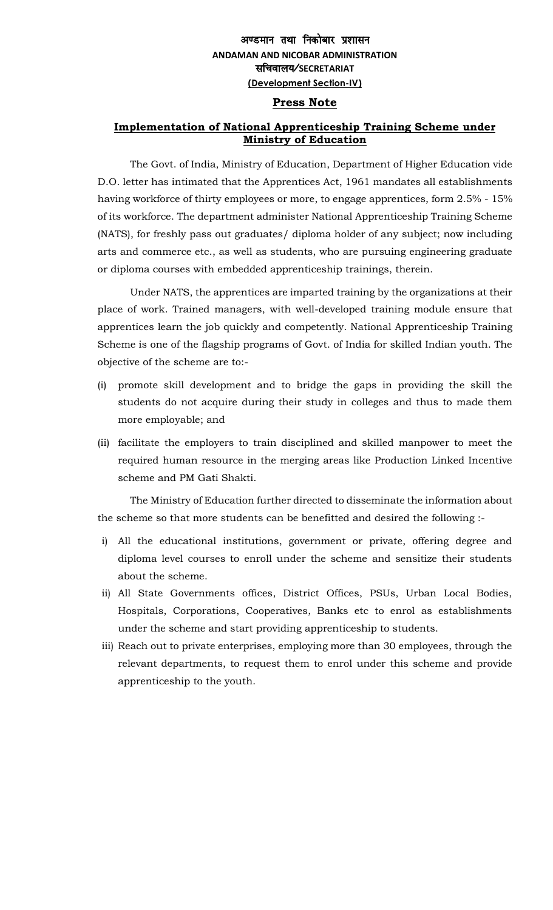## अण्डमान तथा निकोबार प्रशासन **ANDAMAN AND NICOBAR ADMINISTRATION** lfpoky;@**SECRETARIAT (Development Section-IV)**

## **Press Note**

## **Implementation of National Apprenticeship Training Scheme under Ministry of Education**

The Govt. of India, Ministry of Education, Department of Higher Education vide D.O. letter has intimated that the Apprentices Act, 1961 mandates all establishments having workforce of thirty employees or more, to engage apprentices, form 2.5% - 15% of its workforce. The department administer National Apprenticeship Training Scheme (NATS), for freshly pass out graduates/ diploma holder of any subject; now including arts and commerce etc., as well as students, who are pursuing engineering graduate or diploma courses with embedded apprenticeship trainings, therein.

Under NATS, the apprentices are imparted training by the organizations at their place of work. Trained managers, with well-developed training module ensure that apprentices learn the job quickly and competently. National Apprenticeship Training Scheme is one of the flagship programs of Govt. of India for skilled Indian youth. The objective of the scheme are to:-

- (i) promote skill development and to bridge the gaps in providing the skill the students do not acquire during their study in colleges and thus to made them more employable; and
- (ii) facilitate the employers to train disciplined and skilled manpower to meet the required human resource in the merging areas like Production Linked Incentive scheme and PM Gati Shakti.

The Ministry of Education further directed to disseminate the information about the scheme so that more students can be benefitted and desired the following :-

- i) All the educational institutions, government or private, offering degree and diploma level courses to enroll under the scheme and sensitize their students about the scheme.
- ii) All State Governments offices, District Offices, PSUs, Urban Local Bodies, Hospitals, Corporations, Cooperatives, Banks etc to enrol as establishments under the scheme and start providing apprenticeship to students.
- iii) Reach out to private enterprises, employing more than 30 employees, through the relevant departments, to request them to enrol under this scheme and provide apprenticeship to the youth.